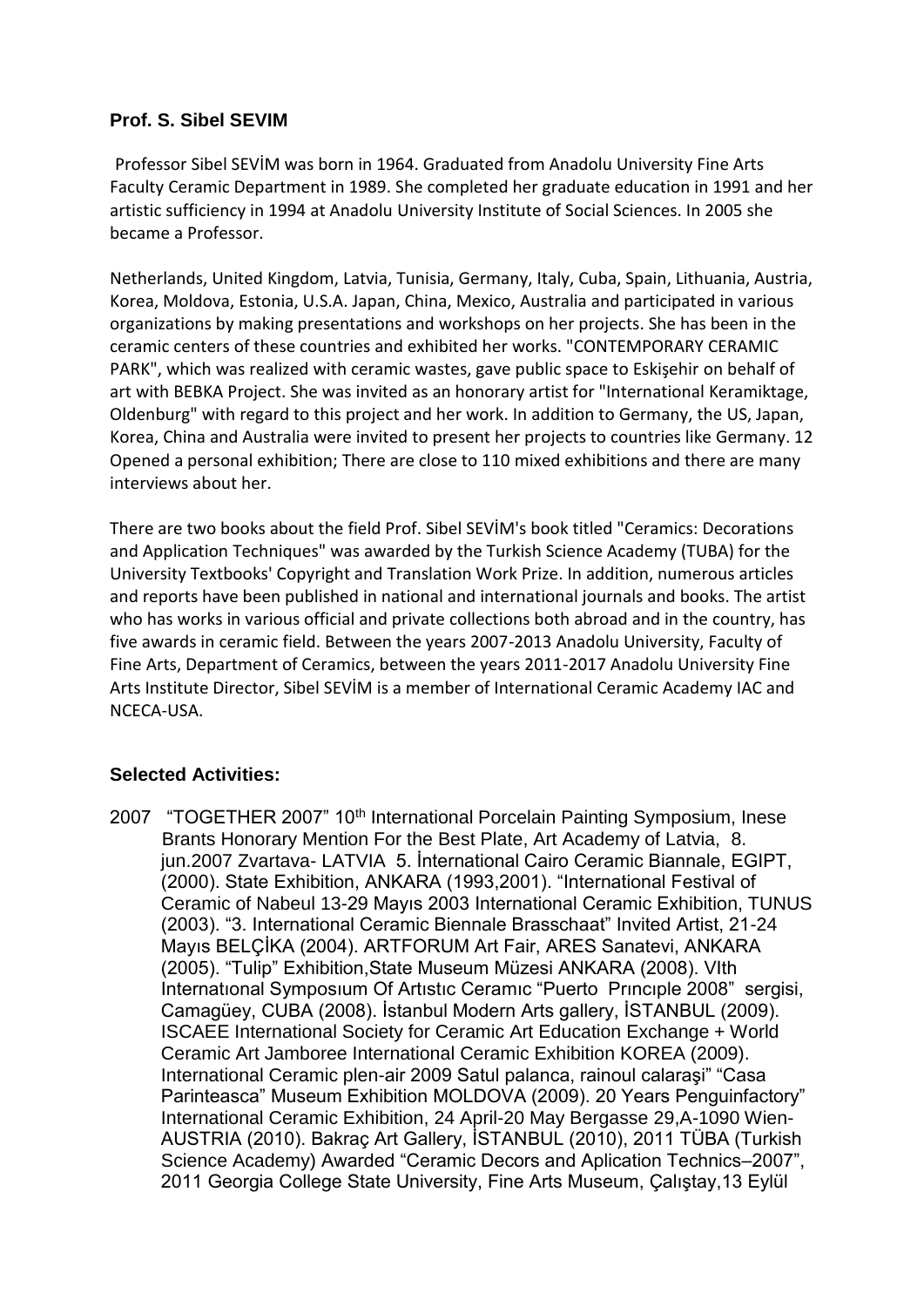## **Prof. S. Sibel SEVIM**

Professor Sibel SEVİM was born in 1964. Graduated from Anadolu University Fine Arts Faculty Ceramic Department in 1989. She completed her graduate education in 1991 and her artistic sufficiency in 1994 at Anadolu University Institute of Social Sciences. In 2005 she became a Professor.

Netherlands, United Kingdom, Latvia, Tunisia, Germany, Italy, Cuba, Spain, Lithuania, Austria, Korea, Moldova, Estonia, U.S.A. Japan, China, Mexico, Australia and participated in various organizations by making presentations and workshops on her projects. She has been in the ceramic centers of these countries and exhibited her works. "CONTEMPORARY CERAMIC PARK", which was realized with ceramic wastes, gave public space to Eskişehir on behalf of art with BEBKA Project. She was invited as an honorary artist for "International Keramiktage, Oldenburg" with regard to this project and her work. In addition to Germany, the US, Japan, Korea, China and Australia were invited to present her projects to countries like Germany. 12 Opened a personal exhibition; There are close to 110 mixed exhibitions and there are many interviews about her.

There are two books about the field Prof. Sibel SEVİM's book titled "Ceramics: Decorations and Application Techniques" was awarded by the Turkish Science Academy (TUBA) for the University Textbooks' Copyright and Translation Work Prize. In addition, numerous articles and reports have been published in national and international journals and books. The artist who has works in various official and private collections both abroad and in the country, has five awards in ceramic field. Between the years 2007-2013 Anadolu University, Faculty of Fine Arts, Department of Ceramics, between the years 2011-2017 Anadolu University Fine Arts Institute Director, Sibel SEVİM is a member of International Ceramic Academy IAC and NCECA-USA.

## **Selected Activities:**

2007 "TOGETHER 2007" 10<sup>th</sup> International Porcelain Painting Symposium, Inese Brants Honorary Mention For the Best Plate, Art Academy of Latvia, 8. jun.2007 Zvartava- LATVIA 5. İnternational Cairo Ceramic Biannale, EGIPT, (2000). State Exhibition, ANKARA (1993,2001). "International Festival of Ceramic of Nabeul 13-29 Mayıs 2003 International Ceramic Exhibition, TUNUS (2003). "3. International Ceramic Biennale Brasschaat" Invited Artist, 21-24 Mayıs BELÇİKA (2004). ARTFORUM Art Fair, ARES Sanatevi, ANKARA (2005). "Tulip" Exhibition,State Museum Müzesi ANKARA (2008). VIth Internatıonal Symposıum Of Artıstıc Ceramıc "Puerto Prıncıple 2008" sergisi, Camagüey, CUBA (2008). İstanbul Modern Arts gallery, İSTANBUL (2009). ISCAEE International Society for Ceramic Art Education Exchange + World Ceramic Art Jamboree International Ceramic Exhibition KOREA (2009). International Ceramic plen-air 2009 Satul palanca, rainoul calaraşi" "Casa Parinteasca" Museum Exhibition MOLDOVA (2009). 20 Years Penguinfactory" International Ceramic Exhibition, 24 April-20 May Bergasse 29,A-1090 Wien-AUSTRIA (2010). Bakraç Art Gallery, İSTANBUL (2010), 2011 TÜBA (Turkish Science Academy) Awarded "Ceramic Decors and Aplication Technics–2007", 2011 Georgia College State University, Fine Arts Museum, Çalıştay,13 Eylül